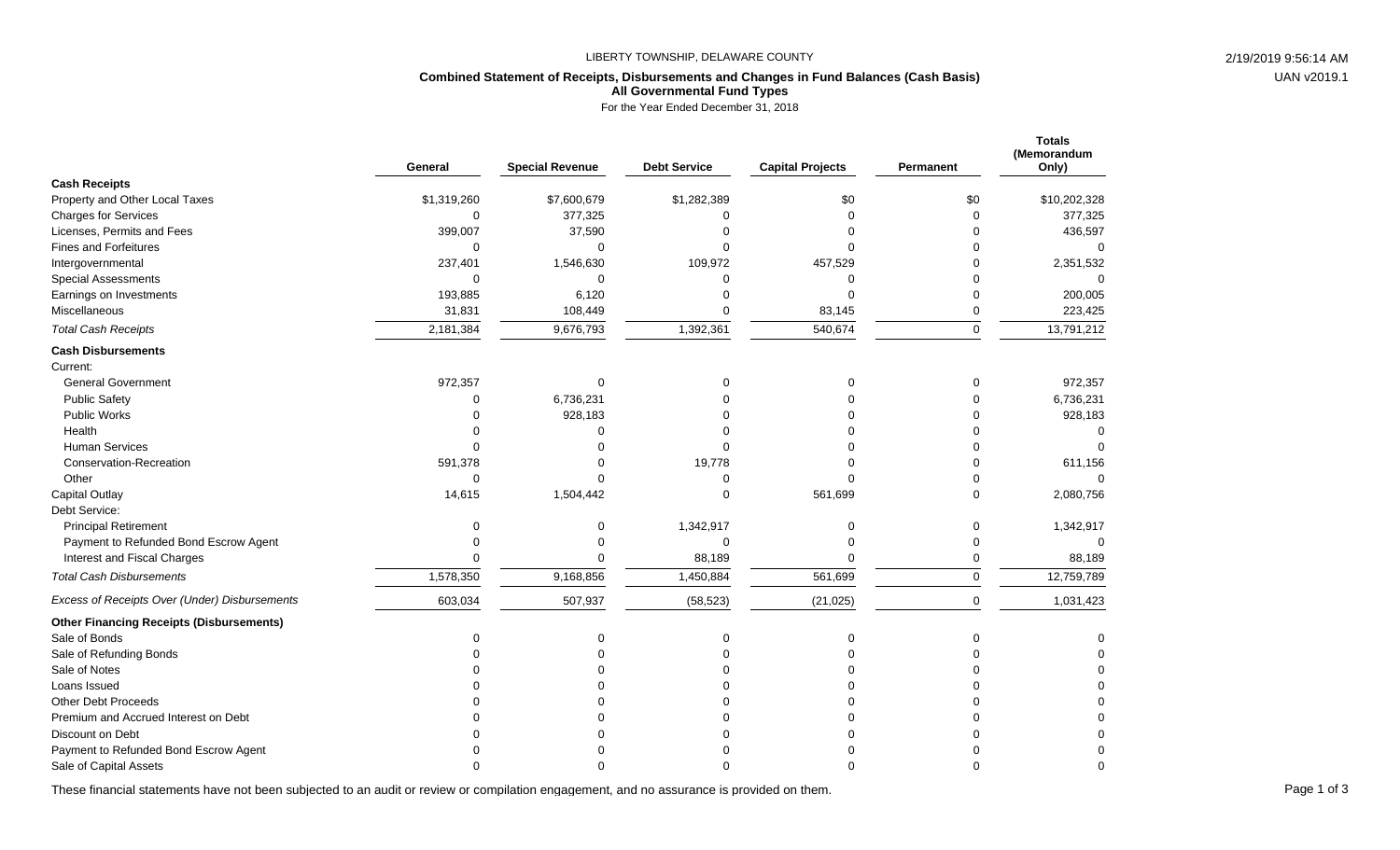#### LIBERTY TOWNSHIP, DELAWARE COUNTY 2/19/2019 9:56:14 AM

#### **Combined Statement of Receipts, Disbursements and Changes in Fund Balances (Cash Basis) All Governmental Fund Types**

For the Year Ended December 31, 2018

|                                                 | General     | <b>Special Revenue</b> | <b>Debt Service</b> | <b>Capital Projects</b> | Permanent   | <b>Totals</b><br>(Memorandum<br>Only) |
|-------------------------------------------------|-------------|------------------------|---------------------|-------------------------|-------------|---------------------------------------|
| <b>Cash Receipts</b>                            |             |                        |                     |                         |             |                                       |
| Property and Other Local Taxes                  | \$1,319,260 | \$7,600,679            | \$1,282,389         | \$0                     | \$0         | \$10,202,328                          |
| <b>Charges for Services</b>                     | $\Omega$    | 377,325                | $\Omega$            | $\Omega$                | $\mathbf 0$ | 377,325                               |
| Licenses, Permits and Fees                      | 399,007     | 37,590                 | 0                   | $\Omega$                | $\Omega$    | 436,597                               |
| Fines and Forfeitures                           | $\Omega$    | $\Omega$               | $\Omega$            | $\Omega$                | O           | $\Omega$                              |
| Intergovernmental                               | 237,401     | 1,546,630              | 109,972             | 457,529                 | 0           | 2,351,532                             |
| <b>Special Assessments</b>                      | $\Omega$    | $\mathbf 0$            | $\Omega$            | $\mathbf 0$             | $\Omega$    | $\Omega$                              |
| Earnings on Investments                         | 193,885     | 6,120                  |                     | $\Omega$                | $\Omega$    | 200,005                               |
| Miscellaneous                                   | 31,831      | 108,449                | $\Omega$            | 83,145                  | $\Omega$    | 223,425                               |
| <b>Total Cash Receipts</b>                      | 2,181,384   | 9,676,793              | 1,392,361           | 540,674                 | $\mathbf 0$ | 13,791,212                            |
| <b>Cash Disbursements</b>                       |             |                        |                     |                         |             |                                       |
| Current:                                        |             |                        |                     |                         |             |                                       |
| <b>General Government</b>                       | 972,357     | 0                      | 0                   | $\Omega$                | 0           | 972,357                               |
| <b>Public Safety</b>                            | $\Omega$    | 6,736,231              | 0                   | $\Omega$                | $\mathbf 0$ | 6,736,231                             |
| Public Works                                    |             | 928,183                |                     | $\Omega$                | 0           | 928,183                               |
| Health                                          |             | $\Omega$               |                     | C                       | U           | $\Omega$                              |
| <b>Human Services</b>                           |             |                        | $\Omega$            | C                       | O           |                                       |
| Conservation-Recreation                         | 591,378     |                        | 19,778              | $\Omega$                | $\Omega$    | 611,156                               |
| Other                                           | $\Omega$    | $\Omega$               | 0                   | $\Omega$                | 0           | $\Omega$                              |
| <b>Capital Outlay</b>                           | 14,615      | 1,504,442              | $\Omega$            | 561,699                 | $\Omega$    | 2,080,756                             |
| Debt Service:                                   |             |                        |                     |                         |             |                                       |
| <b>Principal Retirement</b>                     | $\Omega$    | 0                      | 1,342,917           | 0                       | 0           | 1,342,917                             |
| Payment to Refunded Bond Escrow Agent           | $\Omega$    | 0                      | 0                   | $\Omega$                | $\Omega$    | $\mathbf 0$                           |
| Interest and Fiscal Charges                     |             | $\Omega$               | 88,189              | $\mathbf 0$             | $\mathbf 0$ | 88,189                                |
| <b>Total Cash Disbursements</b>                 | 1,578,350   | 9,168,856              | 1,450,884           | 561,699                 | 0           | 12,759,789                            |
| Excess of Receipts Over (Under) Disbursements   | 603,034     | 507,937                | (58, 523)           | (21, 025)               | $\Omega$    | 1,031,423                             |
| <b>Other Financing Receipts (Disbursements)</b> |             |                        |                     |                         |             |                                       |
| Sale of Bonds                                   | 0           | 0                      | 0                   | 0                       | $\Omega$    | ∩                                     |
| Sale of Refunding Bonds                         |             | ∩                      | $\Omega$            | $\Omega$                | $\Omega$    | $\Omega$                              |
| Sale of Notes                                   |             |                        |                     | $\Omega$                | U           | $\Omega$                              |
| Loans Issued                                    |             |                        |                     | $\Omega$                | U           |                                       |
| Other Debt Proceeds                             |             |                        | ი                   | $\Omega$                | O           | $\Omega$                              |
| Premium and Accrued Interest on Debt            |             |                        | n                   | $\Omega$                | U           | $\Omega$                              |
| Discount on Debt                                |             |                        |                     |                         |             | $\Omega$                              |
| Payment to Refunded Bond Escrow Agent           |             |                        |                     |                         |             | $\Omega$                              |
| Sale of Capital Assets                          |             |                        |                     |                         | ∩           | $\Omega$                              |

These financial statements have not been subjected to an audit or review or compilation engagement, and no assurance is provided on them.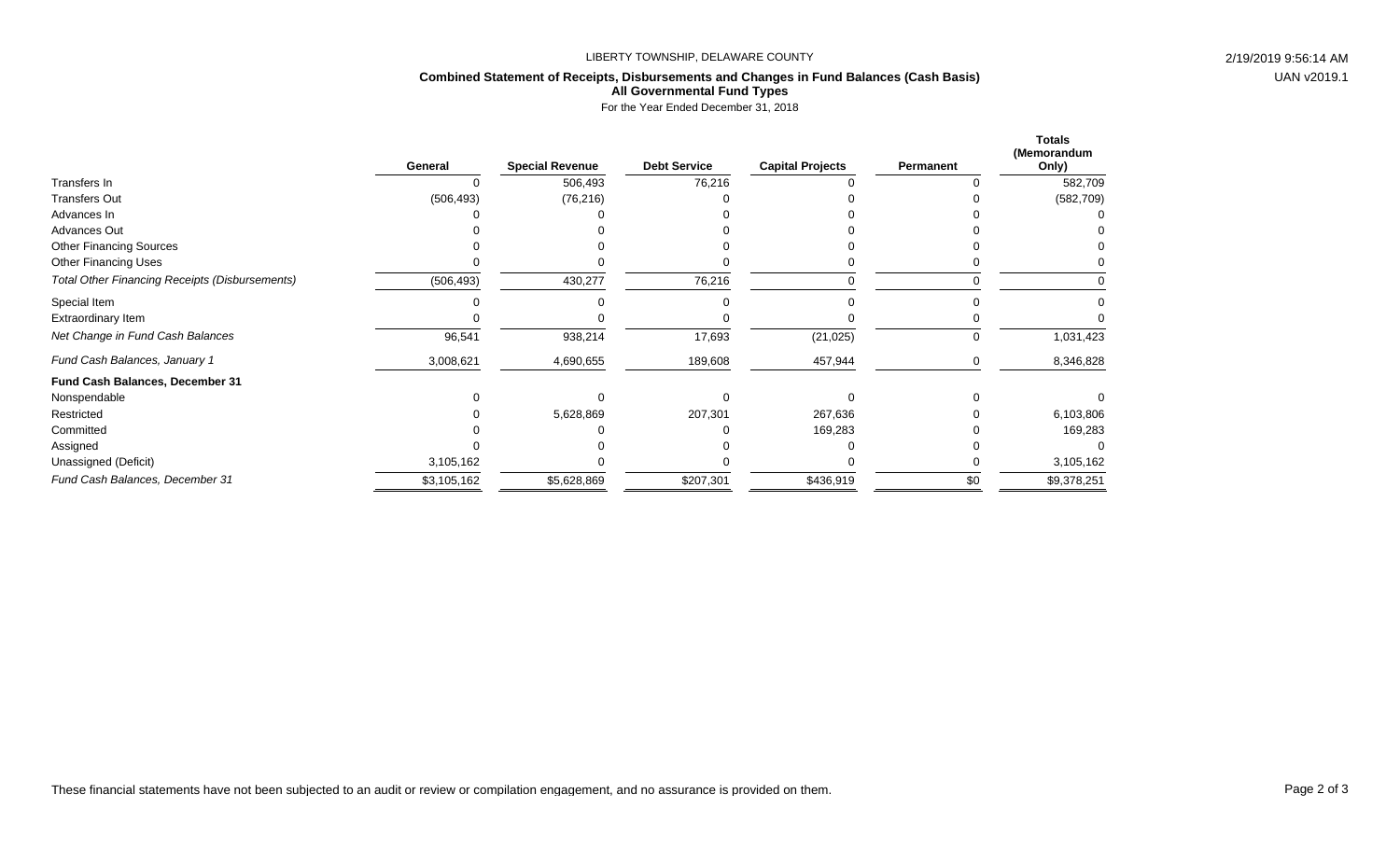#### LIBERTY TOWNSHIP, DELAWARE COUNTY 2/19/2019 9:56:14 AM

#### **Combined Statement of Receipts, Disbursements and Changes in Fund Balances (Cash Basis) All Governmental Fund Types**

For the Year Ended December 31, 2018

|                                                       | General     | <b>Special Revenue</b> | <b>Debt Service</b> | <b>Capital Projects</b> | Permanent | <b>Totals</b><br>(Memorandum<br>Only) |
|-------------------------------------------------------|-------------|------------------------|---------------------|-------------------------|-----------|---------------------------------------|
| Transfers In                                          |             | 506,493                | 76,216              |                         |           | 582,709                               |
| <b>Transfers Out</b>                                  | (506, 493)  | (76, 216)              |                     |                         |           | (582, 709)                            |
| Advances In                                           |             |                        |                     |                         |           |                                       |
| Advances Out                                          |             |                        |                     |                         |           |                                       |
| <b>Other Financing Sources</b>                        |             |                        |                     |                         |           |                                       |
| <b>Other Financing Uses</b>                           |             |                        |                     |                         |           |                                       |
| <b>Total Other Financing Receipts (Disbursements)</b> | (506, 493)  | 430,277                | 76,216              | $\Omega$                |           |                                       |
| Special Item                                          |             |                        |                     |                         |           |                                       |
| Extraordinary Item                                    |             |                        |                     |                         |           |                                       |
| Net Change in Fund Cash Balances                      | 96,541      | 938,214                | 17,693              | (21, 025)               |           | 1,031,423                             |
| Fund Cash Balances, January 1                         | 3,008,621   | 4,690,655              | 189,608             | 457,944                 |           | 8,346,828                             |
| Fund Cash Balances, December 31                       |             |                        |                     |                         |           |                                       |
| Nonspendable                                          |             |                        |                     |                         |           |                                       |
| Restricted                                            |             | 5,628,869              | 207,301             | 267,636                 |           | 6,103,806                             |
| Committed                                             |             |                        |                     | 169,283                 |           | 169,283                               |
| Assigned                                              |             |                        |                     |                         |           |                                       |
| Unassigned (Deficit)                                  | 3,105,162   |                        |                     |                         |           | 3,105,162                             |
| Fund Cash Balances, December 31                       | \$3,105,162 | \$5,628,869            | \$207,301           | \$436,919               | \$0       | \$9,378,251                           |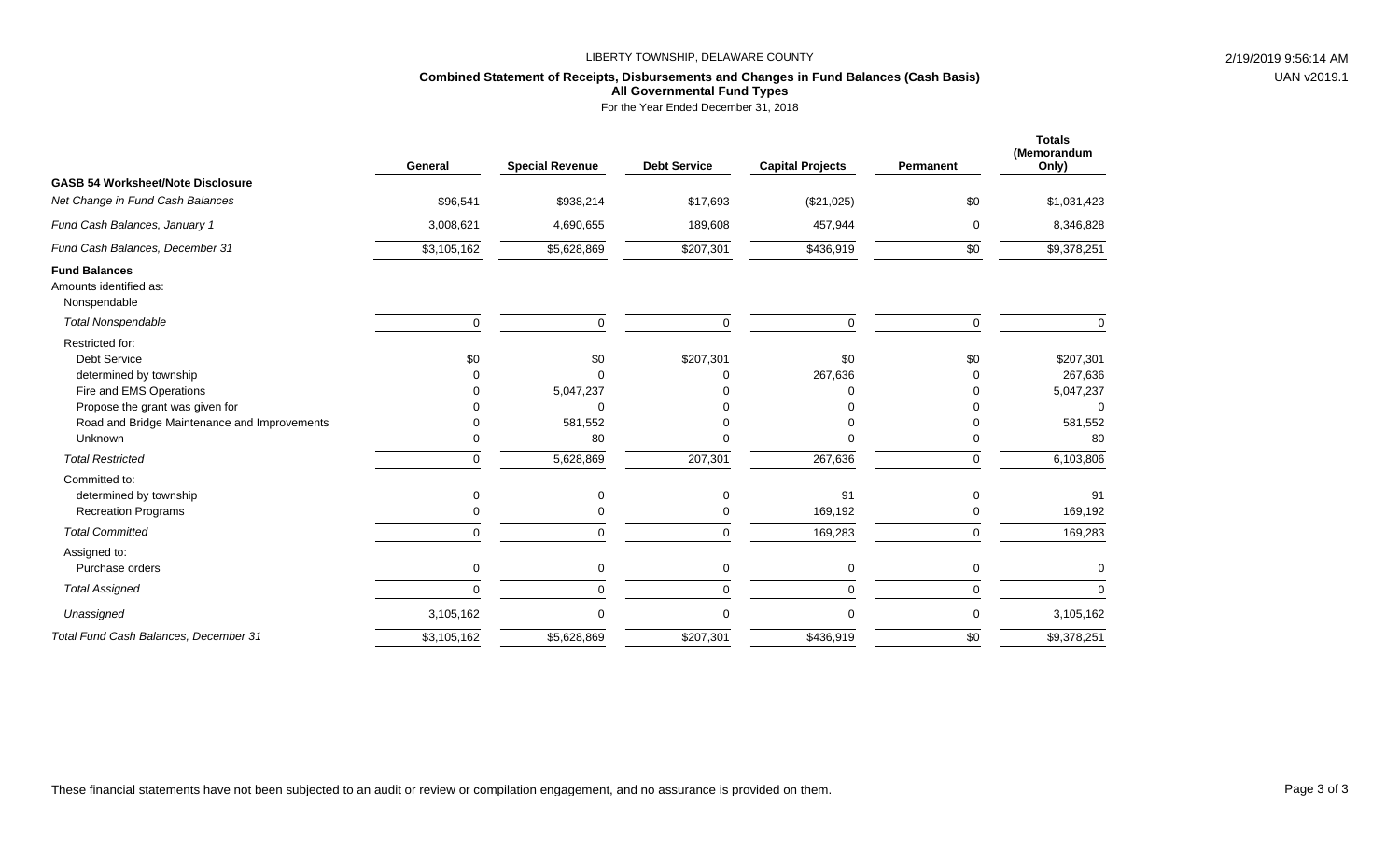#### LIBERTY TOWNSHIP, DELAWARE COUNTY 2/19/2019 9:56:14 AM

UAN v2019.1

#### **Combined Statement of Receipts, Disbursements and Changes in Fund Balances (Cash Basis) All Governmental Fund Types**

For the Year Ended December 31, 2018

|                                                                | General     | <b>Special Revenue</b> | <b>Debt Service</b> | <b>Capital Projects</b> | Permanent   | <b>Totals</b><br>(Memorandum<br>Only) |
|----------------------------------------------------------------|-------------|------------------------|---------------------|-------------------------|-------------|---------------------------------------|
| <b>GASB 54 Worksheet/Note Disclosure</b>                       |             |                        |                     |                         |             |                                       |
| Net Change in Fund Cash Balances                               | \$96,541    | \$938,214              | \$17,693            | (\$21,025)              | \$0         | \$1,031,423                           |
| Fund Cash Balances, January 1                                  | 3,008,621   | 4,690,655              | 189,608             | 457,944                 | 0           | 8,346,828                             |
| Fund Cash Balances, December 31                                | \$3,105,162 | \$5,628,869            | \$207,301           | \$436,919               | \$0         | \$9,378,251                           |
| <b>Fund Balances</b><br>Amounts identified as:<br>Nonspendable |             |                        |                     |                         |             |                                       |
| <b>Total Nonspendable</b>                                      | 0           | 0                      | 0                   | 0                       | 0           | 0                                     |
| Restricted for:<br><b>Debt Service</b>                         | \$0         | \$0                    | \$207,301           | \$0                     | \$0         | \$207,301                             |
| determined by township                                         | $\Omega$    | $\Omega$               | C                   | 267,636                 | 0           | 267,636                               |
| Fire and EMS Operations                                        | $\Omega$    | 5,047,237              |                     | ŋ                       | $\Omega$    | 5,047,237                             |
| Propose the grant was given for                                | Ω           | $\Omega$               |                     |                         | O           | $\Omega$                              |
| Road and Bridge Maintenance and Improvements                   | 0           | 581,552                |                     |                         | 0           | 581,552                               |
| Unknown                                                        | $\Omega$    | 80                     | $\cap$              | O                       | $\Omega$    | 80                                    |
| <b>Total Restricted</b>                                        | $\Omega$    | 5,628,869              | 207,301             | 267,636                 | 0           | 6,103,806                             |
| Committed to:                                                  |             |                        |                     |                         |             |                                       |
| determined by township                                         | $\mathbf 0$ | $\mathbf 0$            | $\mathbf 0$         | 91                      | $\mathbf 0$ | 91                                    |
| <b>Recreation Programs</b>                                     | 0           | ∩                      | $\Omega$            | 169,192                 | O           | 169,192                               |
| <b>Total Committed</b>                                         | $\Omega$    | $\Omega$               | $\Omega$            | 169,283                 | $\Omega$    | 169,283                               |
| Assigned to:                                                   |             |                        |                     |                         |             |                                       |
| Purchase orders                                                | 0           | $\Omega$               | $\mathbf 0$         | 0                       | $\mathbf 0$ | 0                                     |
| <b>Total Assigned</b>                                          | $\Omega$    | ∩                      | $\Omega$            | $\Omega$                | $\Omega$    | $\Omega$                              |
| Unassigned                                                     | 3,105,162   | $\Omega$               | $\Omega$            | 0                       | 0           | 3,105,162                             |
| Total Fund Cash Balances, December 31                          | \$3,105,162 | \$5,628,869            | \$207,301           | \$436,919               | \$0         | \$9,378,251                           |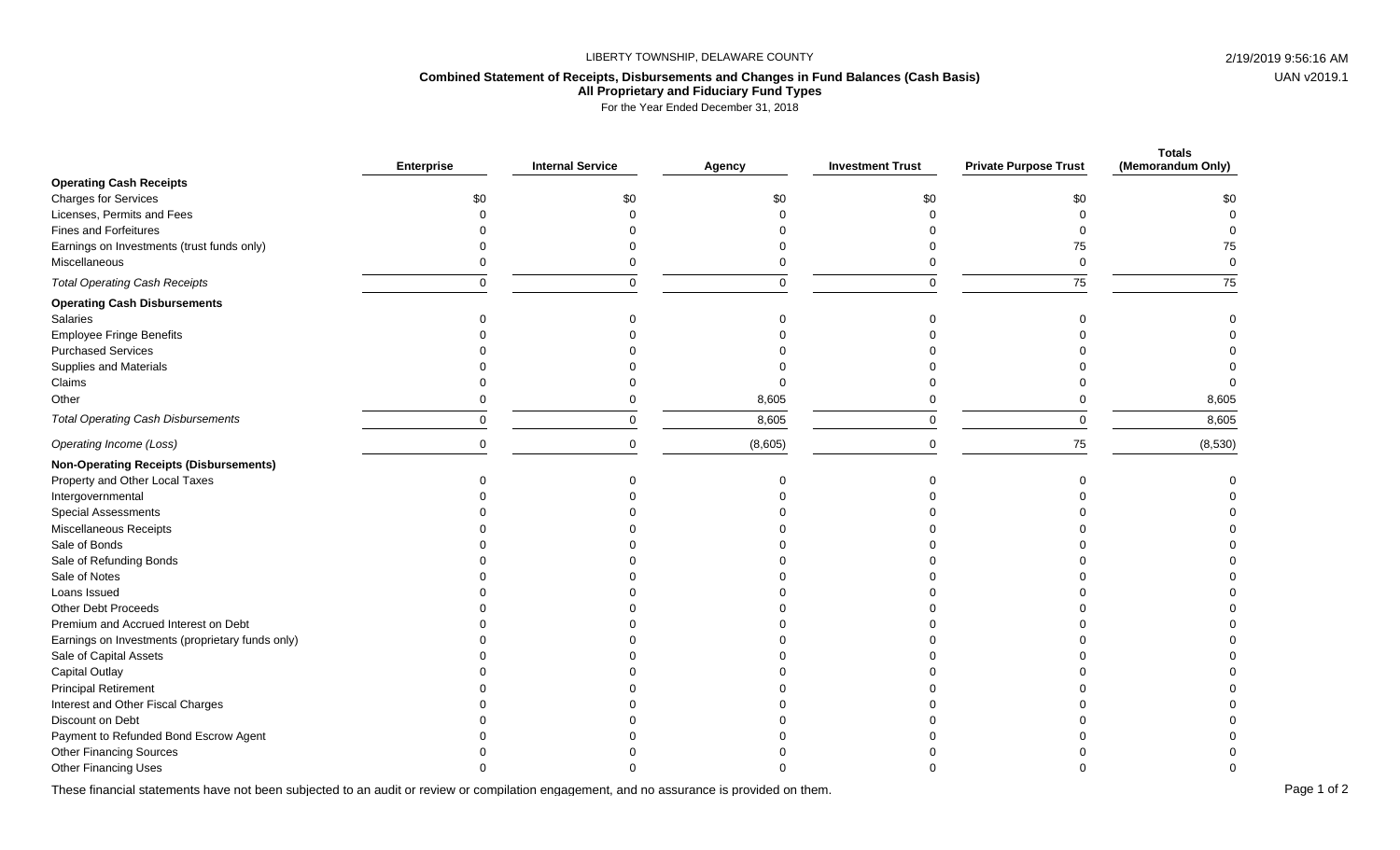#### LIBERTY TOWNSHIP, DELAWARE COUNTY 2/19/2019 9:56:16 AM

#### **Combined Statement of Receipts, Disbursements and Changes in Fund Balances (Cash Basis) All Proprietary and Fiduciary Fund Types**

For the Year Ended December 31, 2018

|                                                  | <b>Enterprise</b> | <b>Internal Service</b> | Agency   | <b>Investment Trust</b> | <b>Private Purpose Trust</b> | <b>Totals</b><br>(Memorandum Only) |
|--------------------------------------------------|-------------------|-------------------------|----------|-------------------------|------------------------------|------------------------------------|
| <b>Operating Cash Receipts</b>                   |                   |                         |          |                         |                              |                                    |
| <b>Charges for Services</b>                      | \$0               | \$0                     | \$0      | \$0                     | \$0                          | \$0                                |
| Licenses, Permits and Fees                       |                   |                         |          |                         |                              |                                    |
| <b>Fines and Forfeitures</b>                     |                   |                         |          |                         |                              |                                    |
| Earnings on Investments (trust funds only)       |                   |                         |          |                         | 75                           | 75                                 |
| Miscellaneous                                    |                   |                         |          |                         | $\mathbf 0$                  | 0                                  |
| <b>Total Operating Cash Receipts</b>             | $\Omega$          | $\Omega$                | $\Omega$ | $\Omega$                | 75                           | 75                                 |
| <b>Operating Cash Disbursements</b>              |                   |                         |          |                         |                              |                                    |
| Salaries                                         |                   |                         | $\Omega$ | $\Omega$                | ∩                            |                                    |
| <b>Employee Fringe Benefits</b>                  |                   |                         |          |                         |                              |                                    |
| <b>Purchased Services</b>                        |                   |                         |          |                         |                              |                                    |
| Supplies and Materials                           |                   |                         |          |                         |                              |                                    |
| Claims                                           |                   |                         |          |                         |                              |                                    |
| Other                                            |                   |                         | 8,605    |                         | 0                            | 8,605                              |
| <b>Total Operating Cash Disbursements</b>        | $\Omega$          | $\mathbf 0$             | 8,605    | $\Omega$                | $\mathbf 0$                  | 8,605                              |
| Operating Income (Loss)                          | ∩                 | $\mathbf 0$             | (8,605)  | $\Omega$                | 75                           | (8,530)                            |
| <b>Non-Operating Receipts (Disbursements)</b>    |                   |                         |          |                         |                              |                                    |
| Property and Other Local Taxes                   |                   |                         |          |                         |                              |                                    |
| Intergovernmental                                |                   |                         |          |                         |                              |                                    |
| <b>Special Assessments</b>                       |                   |                         |          |                         |                              |                                    |
| Miscellaneous Receipts                           |                   |                         |          |                         |                              |                                    |
| Sale of Bonds                                    |                   |                         |          |                         |                              |                                    |
| Sale of Refunding Bonds                          |                   |                         |          |                         |                              |                                    |
| Sale of Notes                                    |                   |                         |          |                         |                              |                                    |
| Loans Issued                                     |                   |                         |          |                         |                              |                                    |
| Other Debt Proceeds                              |                   |                         |          |                         |                              |                                    |
| Premium and Accrued Interest on Debt             |                   |                         |          |                         |                              |                                    |
| Earnings on Investments (proprietary funds only) |                   |                         |          |                         |                              |                                    |
| Sale of Capital Assets                           |                   |                         |          |                         |                              |                                    |
| Capital Outlay                                   |                   |                         |          |                         |                              |                                    |
| <b>Principal Retirement</b>                      |                   |                         |          |                         |                              |                                    |
| Interest and Other Fiscal Charges                |                   |                         |          |                         |                              |                                    |
| Discount on Debt                                 |                   |                         |          |                         |                              |                                    |
| Payment to Refunded Bond Escrow Agent            |                   |                         |          |                         |                              |                                    |
| <b>Other Financing Sources</b>                   |                   |                         |          |                         |                              |                                    |
| Other Financing Uses                             |                   |                         |          |                         |                              |                                    |

These financial statements have not been subjected to an audit or review or compilation engagement, and no assurance is provided on them.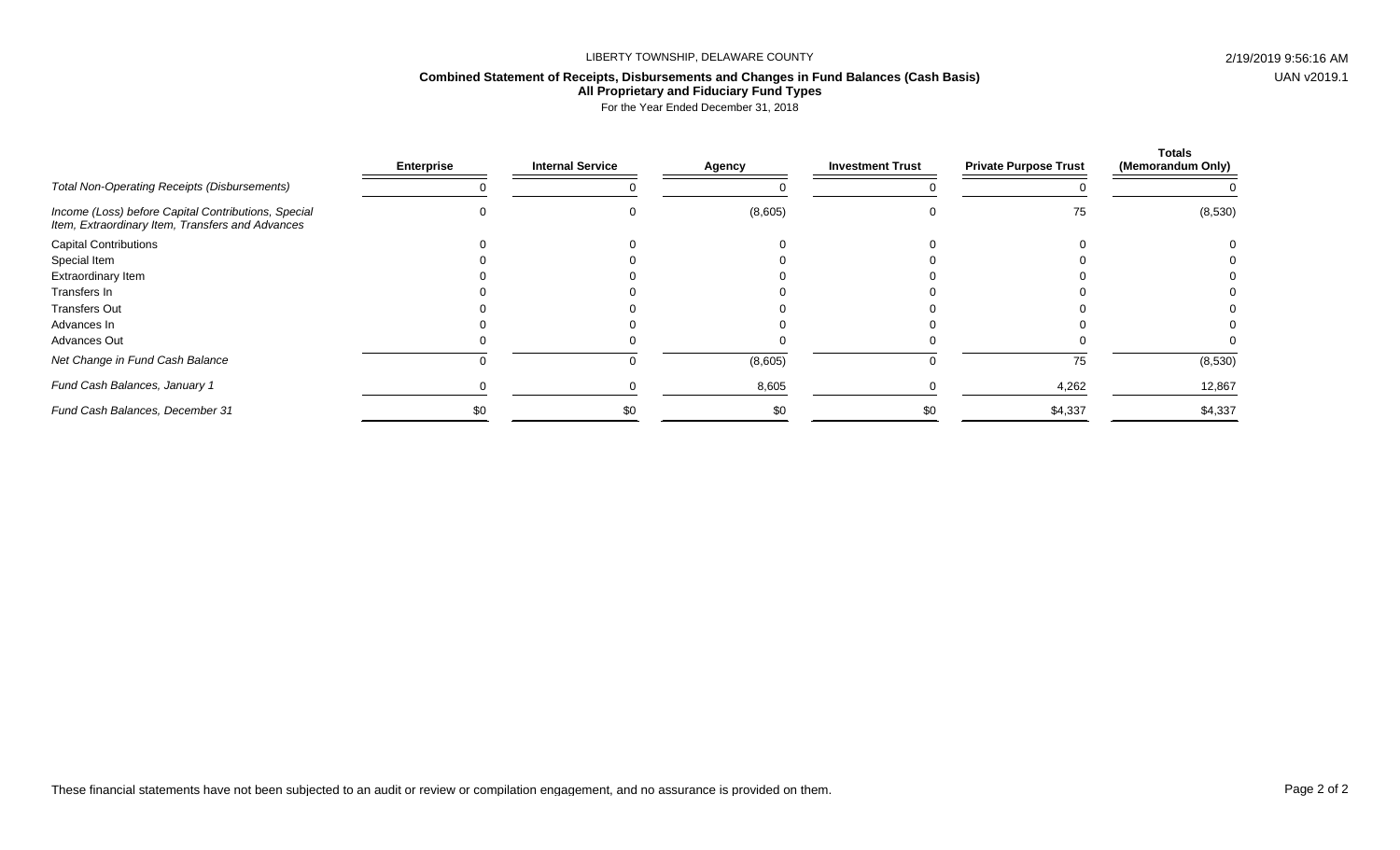#### LIBERTY TOWNSHIP, DELAWARE COUNTY 2/19/2019 9:56:16 AM

# **Combined Statement of Receipts, Disbursements and Changes in Fund Balances (Cash Basis)**

**All Proprietary and Fiduciary Fund Types**

For the Year Ended December 31, 2018

|                                                                                                         | <b>Enterprise</b> | <b>Internal Service</b> | Agency  | <b>Investment Trust</b> | <b>Private Purpose Trust</b> | Totals<br>(Memorandum Only) |
|---------------------------------------------------------------------------------------------------------|-------------------|-------------------------|---------|-------------------------|------------------------------|-----------------------------|
| <b>Total Non-Operating Receipts (Disbursements)</b>                                                     |                   |                         |         |                         |                              |                             |
| Income (Loss) before Capital Contributions, Special<br>Item, Extraordinary Item, Transfers and Advances |                   |                         | (8,605) |                         | 75                           | (8,530)                     |
| <b>Capital Contributions</b>                                                                            |                   |                         |         |                         |                              |                             |
| Special Item                                                                                            |                   |                         |         |                         |                              |                             |
| Extraordinary Item                                                                                      |                   |                         |         |                         |                              |                             |
| Transfers In                                                                                            |                   |                         |         |                         |                              |                             |
| <b>Transfers Out</b>                                                                                    |                   |                         |         |                         |                              |                             |
| Advances In                                                                                             |                   |                         |         |                         |                              |                             |
| Advances Out                                                                                            |                   |                         |         |                         |                              |                             |
| Net Change in Fund Cash Balance                                                                         |                   | -0                      | (8,605) | 0                       | 75                           | (8,530)                     |
| Fund Cash Balances, January 1                                                                           |                   |                         | 8,605   |                         | 4,262                        | 12,867                      |
| Fund Cash Balances, December 31                                                                         |                   | \$0                     | \$0     | \$0                     | \$4,337                      | \$4,337                     |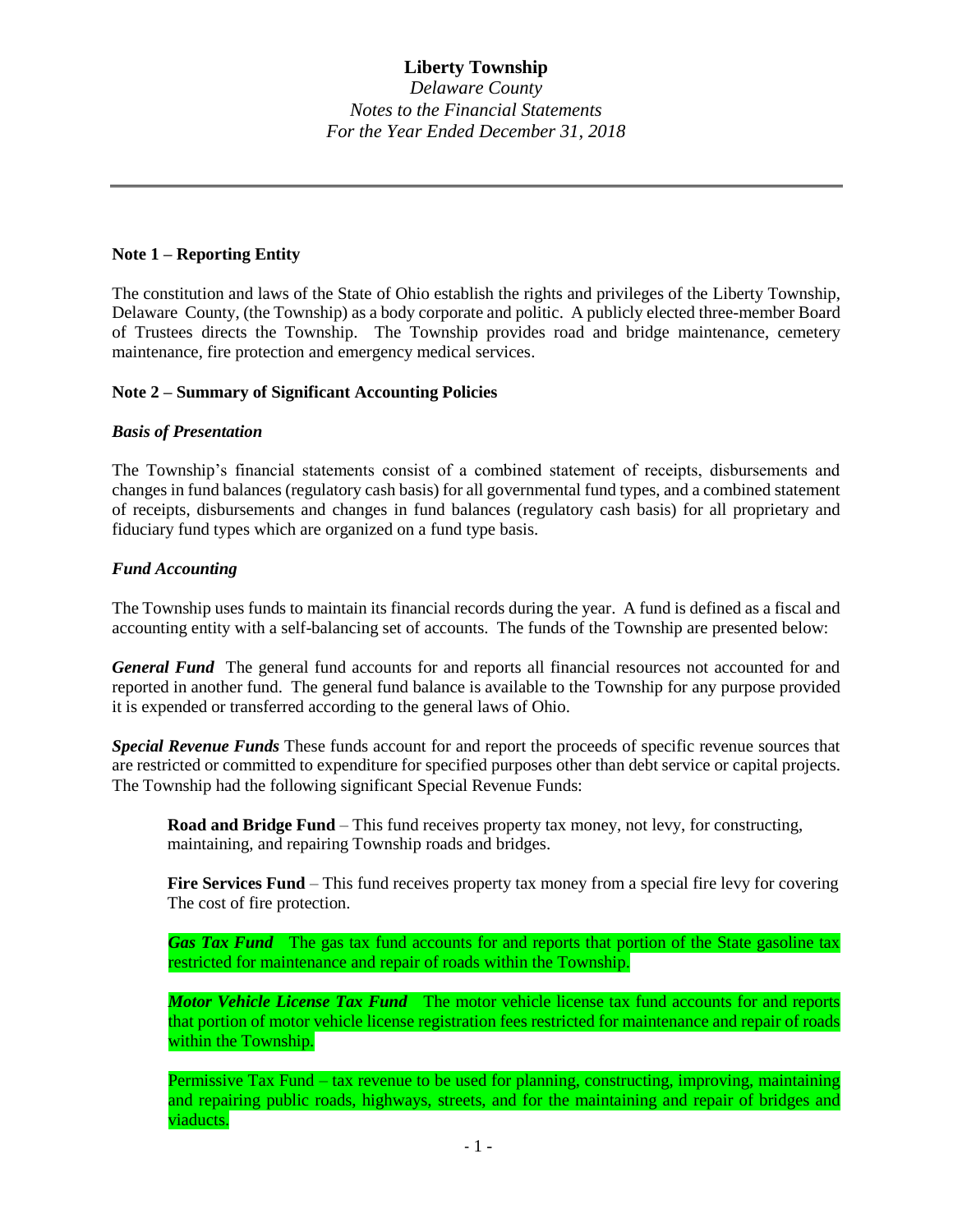# **Note 1 – Reporting Entity**

The constitution and laws of the State of Ohio establish the rights and privileges of the Liberty Township, Delaware County, (the Township) as a body corporate and politic. A publicly elected three-member Board of Trustees directs the Township. The Township provides road and bridge maintenance, cemetery maintenance, fire protection and emergency medical services.

# **Note 2 – Summary of Significant Accounting Policies**

# *Basis of Presentation*

The Township's financial statements consist of a combined statement of receipts, disbursements and changes in fund balances (regulatory cash basis) for all governmental fund types, and a combined statement of receipts, disbursements and changes in fund balances (regulatory cash basis) for all proprietary and fiduciary fund types which are organized on a fund type basis.

# *Fund Accounting*

The Township uses funds to maintain its financial records during the year. A fund is defined as a fiscal and accounting entity with a self-balancing set of accounts. The funds of the Township are presented below:

*General Fund* The general fund accounts for and reports all financial resources not accounted for and reported in another fund. The general fund balance is available to the Township for any purpose provided it is expended or transferred according to the general laws of Ohio.

*Special Revenue Funds* These funds account for and report the proceeds of specific revenue sources that are restricted or committed to expenditure for specified purposes other than debt service or capital projects. The Township had the following significant Special Revenue Funds:

 **Road and Bridge Fund** – This fund receives property tax money, not levy, for constructing, maintaining, and repairing Township roads and bridges.

**Fire Services Fund** – This fund receives property tax money from a special fire levy for covering The cost of fire protection.

*Gas Tax Fund* The gas tax fund accounts for and reports that portion of the State gasoline tax restricted for maintenance and repair of roads within the Township.

*Motor Vehicle License Tax Fund* The motor vehicle license tax fund accounts for and reports that portion of motor vehicle license registration fees restricted for maintenance and repair of roads within the Township.

Permissive Tax Fund – tax revenue to be used for planning, constructing, improving, maintaining and repairing public roads, highways, streets, and for the maintaining and repair of bridges and viaducts.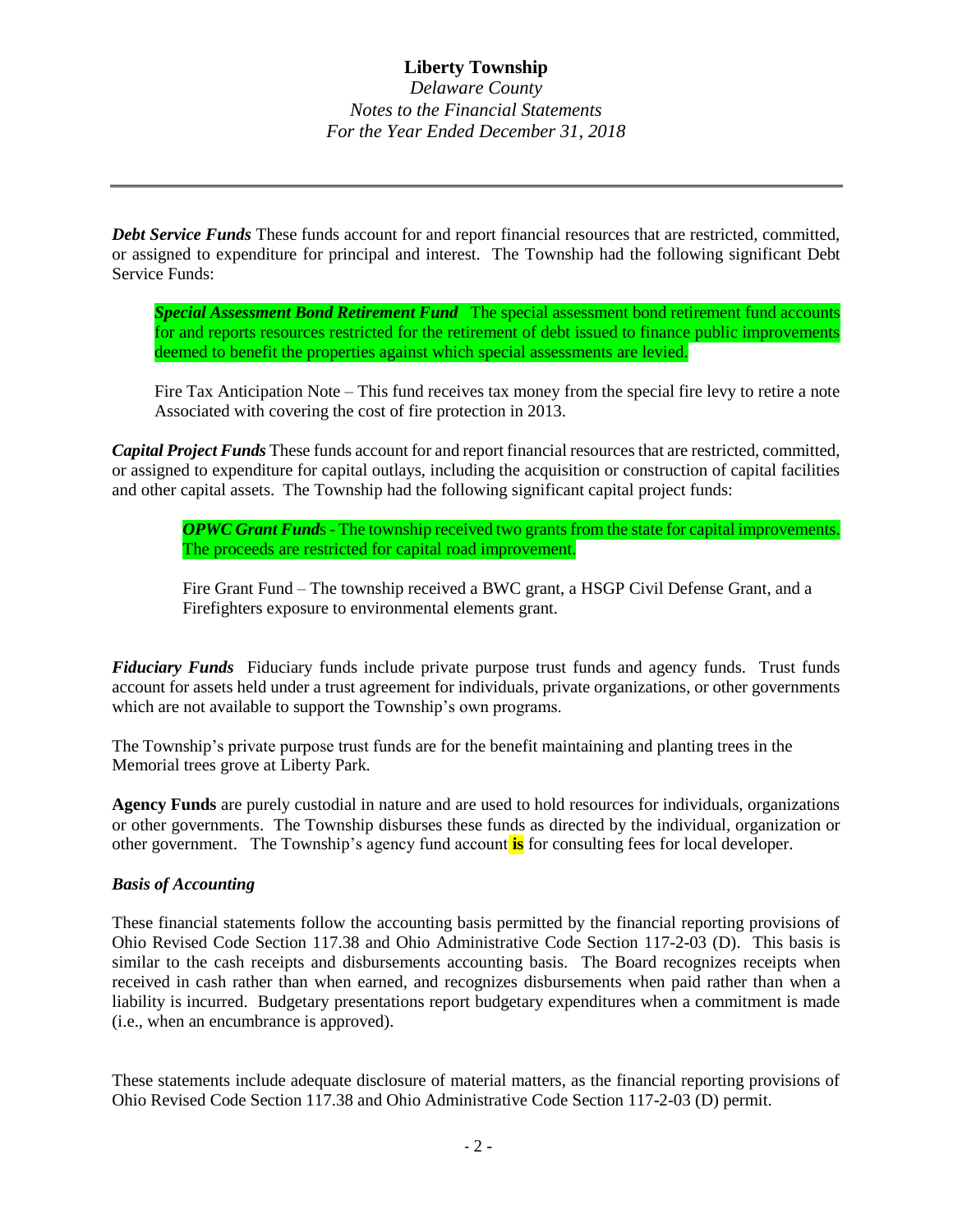**Debt Service Funds** These funds account for and report financial resources that are restricted, committed, or assigned to expenditure for principal and interest. The Township had the following significant Debt Service Funds:

*Special Assessment Bond Retirement Fund* The special assessment bond retirement fund accounts for and reports resources restricted for the retirement of debt issued to finance public improvements deemed to benefit the properties against which special assessments are levied.

Fire Tax Anticipation Note – This fund receives tax money from the special fire levy to retire a note Associated with covering the cost of fire protection in 2013.

*Capital Project Funds* These funds account for and report financial resources that are restricted, committed, or assigned to expenditure for capital outlays, including the acquisition or construction of capital facilities and other capital assets. The Township had the following significant capital project funds:

*OPWC Grant Fund*s - The township received two grants from the state for capital improvements. The proceeds are restricted for capital road improvement.

Fire Grant Fund – The township received a BWC grant, a HSGP Civil Defense Grant, and a Firefighters exposure to environmental elements grant.

*Fiduciary Funds* Fiduciary funds include private purpose trust funds and agency funds. Trust funds account for assets held under a trust agreement for individuals, private organizations, or other governments which are not available to support the Township's own programs.

The Township's private purpose trust funds are for the benefit maintaining and planting trees in the Memorial trees grove at Liberty Park.

**Agency Funds** are purely custodial in nature and are used to hold resources for individuals, organizations or other governments. The Township disburses these funds as directed by the individual, organization or other government. The Township's agency fund account **is** for consulting fees for local developer.

## *Basis of Accounting*

These financial statements follow the accounting basis permitted by the financial reporting provisions of Ohio Revised Code Section 117.38 and Ohio Administrative Code Section 117-2-03 (D). This basis is similar to the cash receipts and disbursements accounting basis. The Board recognizes receipts when received in cash rather than when earned, and recognizes disbursements when paid rather than when a liability is incurred. Budgetary presentations report budgetary expenditures when a commitment is made (i.e., when an encumbrance is approved).

These statements include adequate disclosure of material matters, as the financial reporting provisions of Ohio Revised Code Section 117.38 and Ohio Administrative Code Section 117-2-03 (D) permit.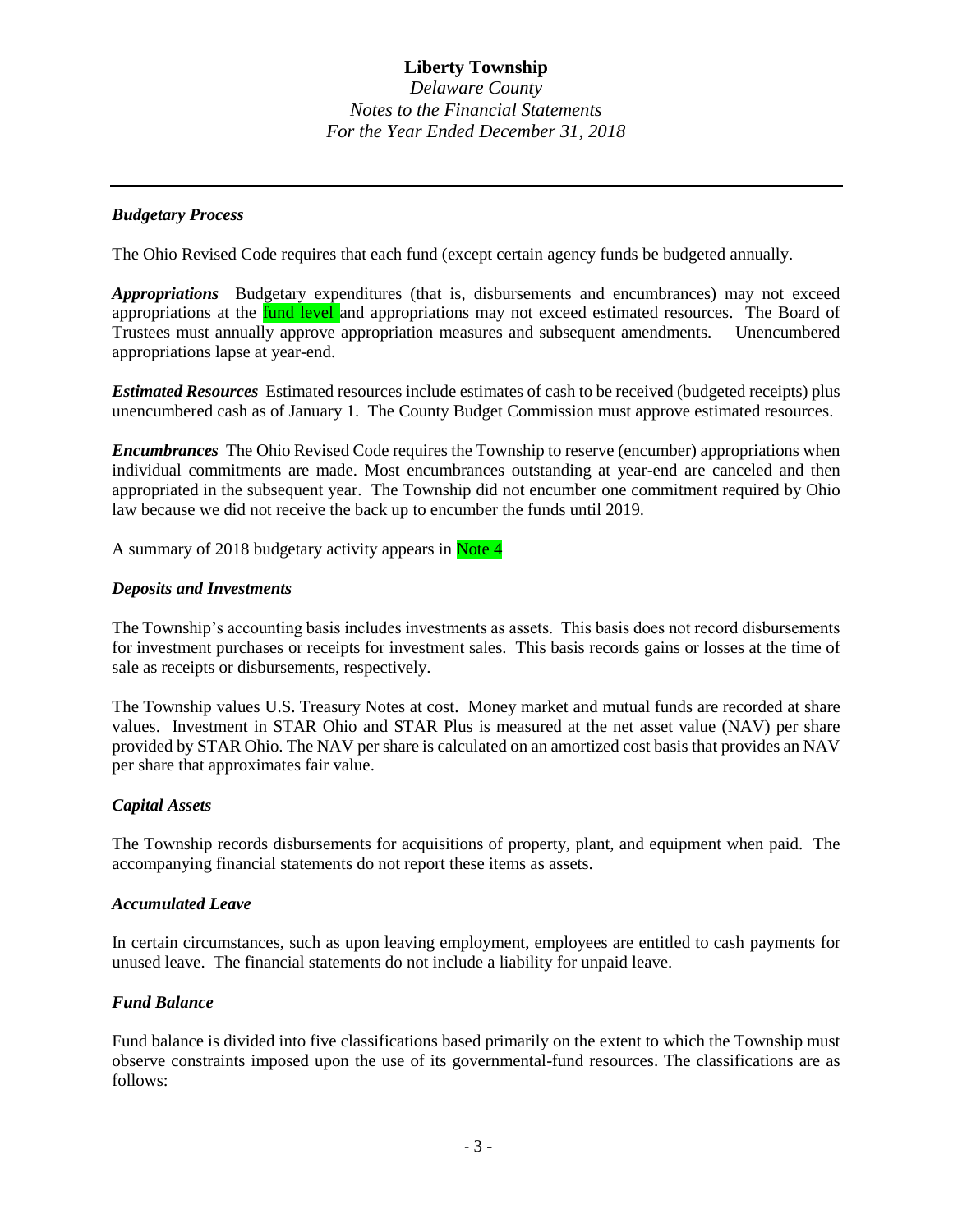#### *Budgetary Process*

The Ohio Revised Code requires that each fund (except certain agency funds be budgeted annually.

*Appropriations*Budgetary expenditures (that is, disbursements and encumbrances) may not exceed appropriations at the fund level and appropriations may not exceed estimated resources. The Board of Trustees must annually approve appropriation measures and subsequent amendments. Unencumbered appropriations lapse at year-end.

*Estimated Resources*Estimated resources include estimates of cash to be received (budgeted receipts) plus unencumbered cash as of January 1. The County Budget Commission must approve estimated resources.

*Encumbrances* The Ohio Revised Code requires the Township to reserve (encumber) appropriations when individual commitments are made. Most encumbrances outstanding at year-end are canceled and then appropriated in the subsequent year. The Township did not encumber one commitment required by Ohio law because we did not receive the back up to encumber the funds until 2019.

A summary of 2018 budgetary activity appears in Note 4

#### *Deposits and Investments*

The Township's accounting basis includes investments as assets. This basis does not record disbursements for investment purchases or receipts for investment sales. This basis records gains or losses at the time of sale as receipts or disbursements, respectively.

The Township values U.S. Treasury Notes at cost. Money market and mutual funds are recorded at share values. Investment in STAR Ohio and STAR Plus is measured at the net asset value (NAV) per share provided by STAR Ohio. The NAV per share is calculated on an amortized cost basis that provides an NAV per share that approximates fair value.

## *Capital Assets*

The Township records disbursements for acquisitions of property, plant, and equipment when paid. The accompanying financial statements do not report these items as assets.

#### *Accumulated Leave*

In certain circumstances, such as upon leaving employment, employees are entitled to cash payments for unused leave. The financial statements do not include a liability for unpaid leave.

## *Fund Balance*

Fund balance is divided into five classifications based primarily on the extent to which the Township must observe constraints imposed upon the use of its governmental-fund resources. The classifications are as follows: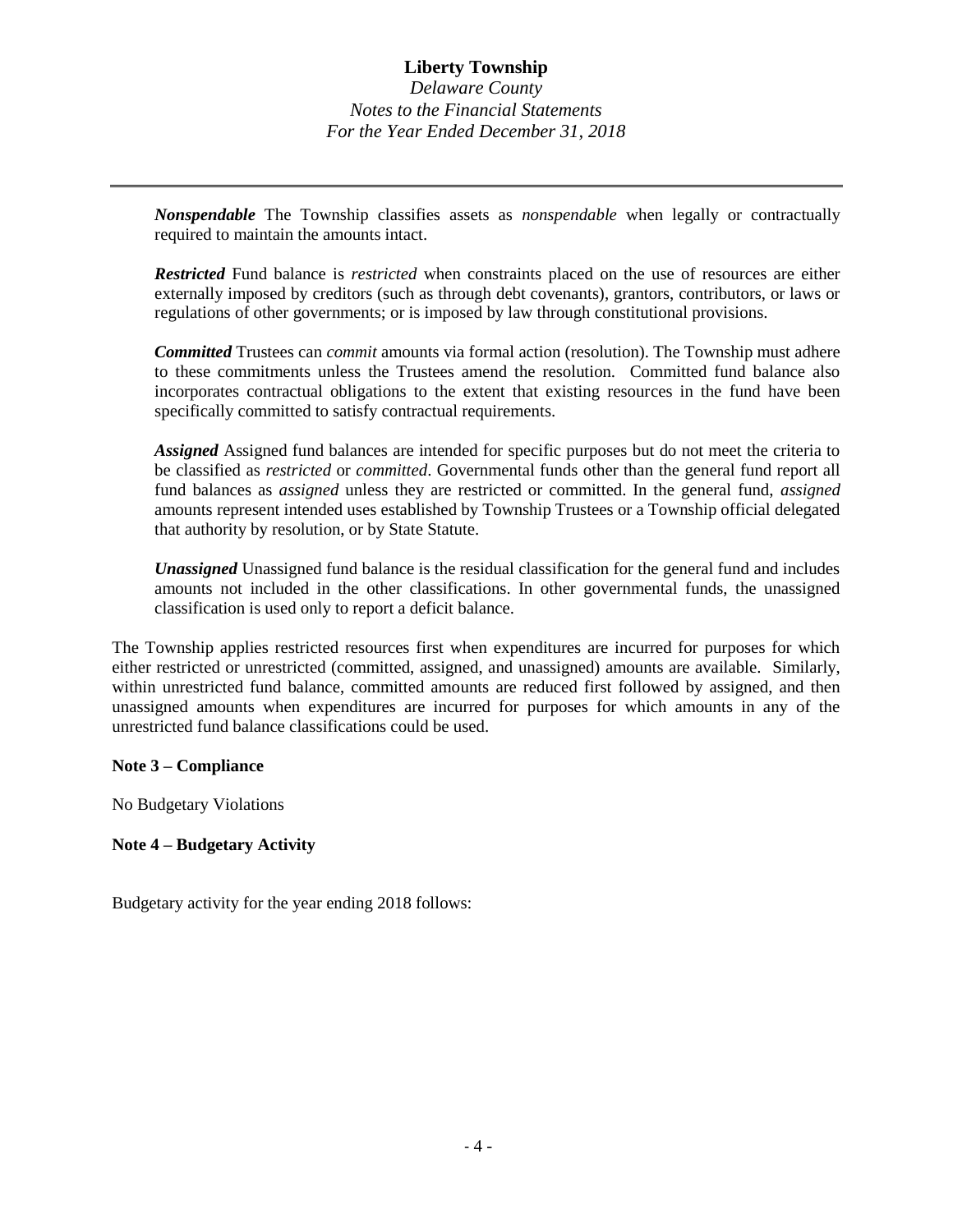*Nonspendable* The Township classifies assets as *nonspendable* when legally or contractually required to maintain the amounts intact.

*Restricted* Fund balance is *restricted* when constraints placed on the use of resources are either externally imposed by creditors (such as through debt covenants), grantors, contributors, or laws or regulations of other governments; or is imposed by law through constitutional provisions.

*Committed* Trustees can *commit* amounts via formal action (resolution). The Township must adhere to these commitments unless the Trustees amend the resolution. Committed fund balance also incorporates contractual obligations to the extent that existing resources in the fund have been specifically committed to satisfy contractual requirements.

*Assigned* Assigned fund balances are intended for specific purposes but do not meet the criteria to be classified as *restricted* or *committed*. Governmental funds other than the general fund report all fund balances as *assigned* unless they are restricted or committed. In the general fund, *assigned* amounts represent intended uses established by Township Trustees or a Township official delegated that authority by resolution, or by State Statute.

*Unassigned* Unassigned fund balance is the residual classification for the general fund and includes amounts not included in the other classifications. In other governmental funds, the unassigned classification is used only to report a deficit balance.

The Township applies restricted resources first when expenditures are incurred for purposes for which either restricted or unrestricted (committed, assigned, and unassigned) amounts are available. Similarly, within unrestricted fund balance, committed amounts are reduced first followed by assigned, and then unassigned amounts when expenditures are incurred for purposes for which amounts in any of the unrestricted fund balance classifications could be used.

## **Note 3 – Compliance**

No Budgetary Violations

## **Note 4 – Budgetary Activity**

Budgetary activity for the year ending 2018 follows: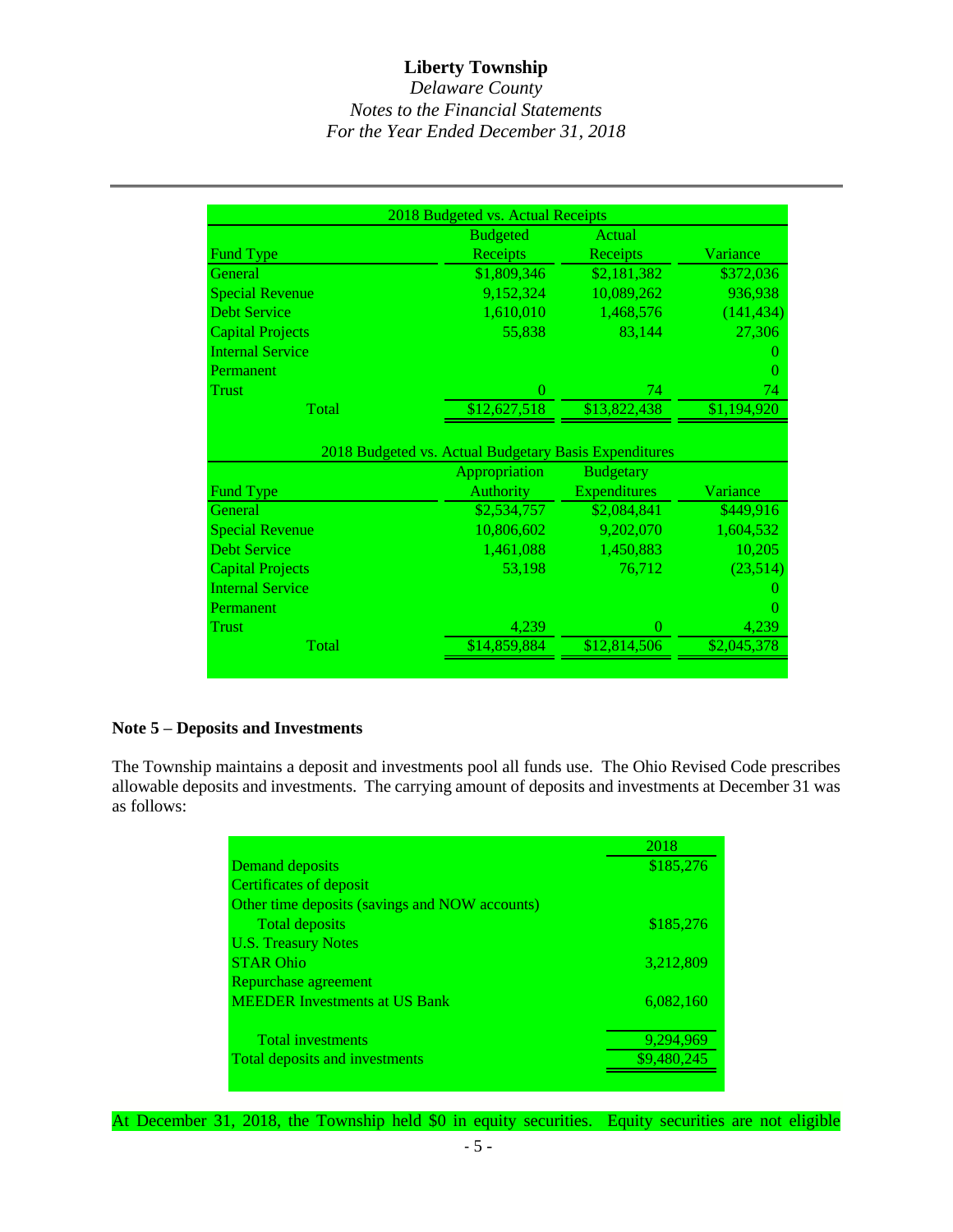# **Liberty Township**

# *Delaware County Notes to the Financial Statements For the Year Ended December 31, 2018*

|                                                            | <b>Budgeted</b>                                                        | Actual                   |                      |
|------------------------------------------------------------|------------------------------------------------------------------------|--------------------------|----------------------|
| Fund Type                                                  | Receipts                                                               | <b>Receipts</b>          | Variance             |
| General                                                    | \$1,809,346                                                            | \$2,181,382              | \$372,036            |
| <b>Special Revenue</b>                                     | 9,152,324                                                              | 10,089,262               | 936,938              |
| <b>Debt Service</b>                                        | 1,610,010                                                              | 1,468,576                | (141, 434)           |
| <b>Capital Projects</b>                                    | 55,838                                                                 | 83,144                   | 27,306               |
| <b>Internal Service</b>                                    |                                                                        |                          | 0                    |
| Permanent                                                  |                                                                        |                          | 0                    |
| <b>Trust</b>                                               | $\Omega$                                                               | 74                       | 74                   |
|                                                            |                                                                        |                          |                      |
| Total                                                      | \$12,627,518                                                           | \$13,822,438             | \$1,194,920          |
|                                                            | 2018 Budgeted vs. Actual Budgetary Basis Expenditures<br>Appropriation | <b>Budgetary</b>         |                      |
| Fund Type                                                  | <b>Authority</b>                                                       | <b>Expenditures</b>      | Variance             |
| General                                                    | \$2,534,757                                                            | \$2,084,841              | \$449,916            |
|                                                            | 10,806,602                                                             | 9,202,070                | 1,604,532            |
|                                                            | 1,461,088                                                              | 1,450,883                | 10,205               |
| <b>Capital Projects</b>                                    | 53,198                                                                 | 76,712                   | (23,514)             |
|                                                            |                                                                        |                          | 0                    |
| <b>Special Revenue</b><br><b>Debt Service</b><br>Permanent |                                                                        |                          | 0                    |
| <b>Internal Service</b><br><b>Trust</b>                    | 4.239<br>\$14,859,884                                                  | $\theta$<br>\$12,814,506 | 4,239<br>\$2,045,378 |

# **Note 5 – Deposits and Investments**

The Township maintains a deposit and investments pool all funds use. The Ohio Revised Code prescribes allowable deposits and investments. The carrying amount of deposits and investments at December 31 was as follows:

|                                                | 2018        |
|------------------------------------------------|-------------|
| Demand deposits                                | \$185,276   |
| Certificates of deposit                        |             |
| Other time deposits (savings and NOW accounts) |             |
| Total deposits                                 | \$185,276   |
| <b>U.S. Treasury Notes</b>                     |             |
| <b>STAR Ohio</b>                               | 3,212,809   |
| Repurchase agreement                           |             |
| <b>MEEDER</b> Investments at US Bank           | 6,082,160   |
|                                                |             |
| <b>Total investments</b>                       | 9,294,969   |
| Total deposits and investments                 | \$9,480,245 |
|                                                |             |

At December 31, 2018, the Township held \$0 in equity securities. Equity securities are not eligible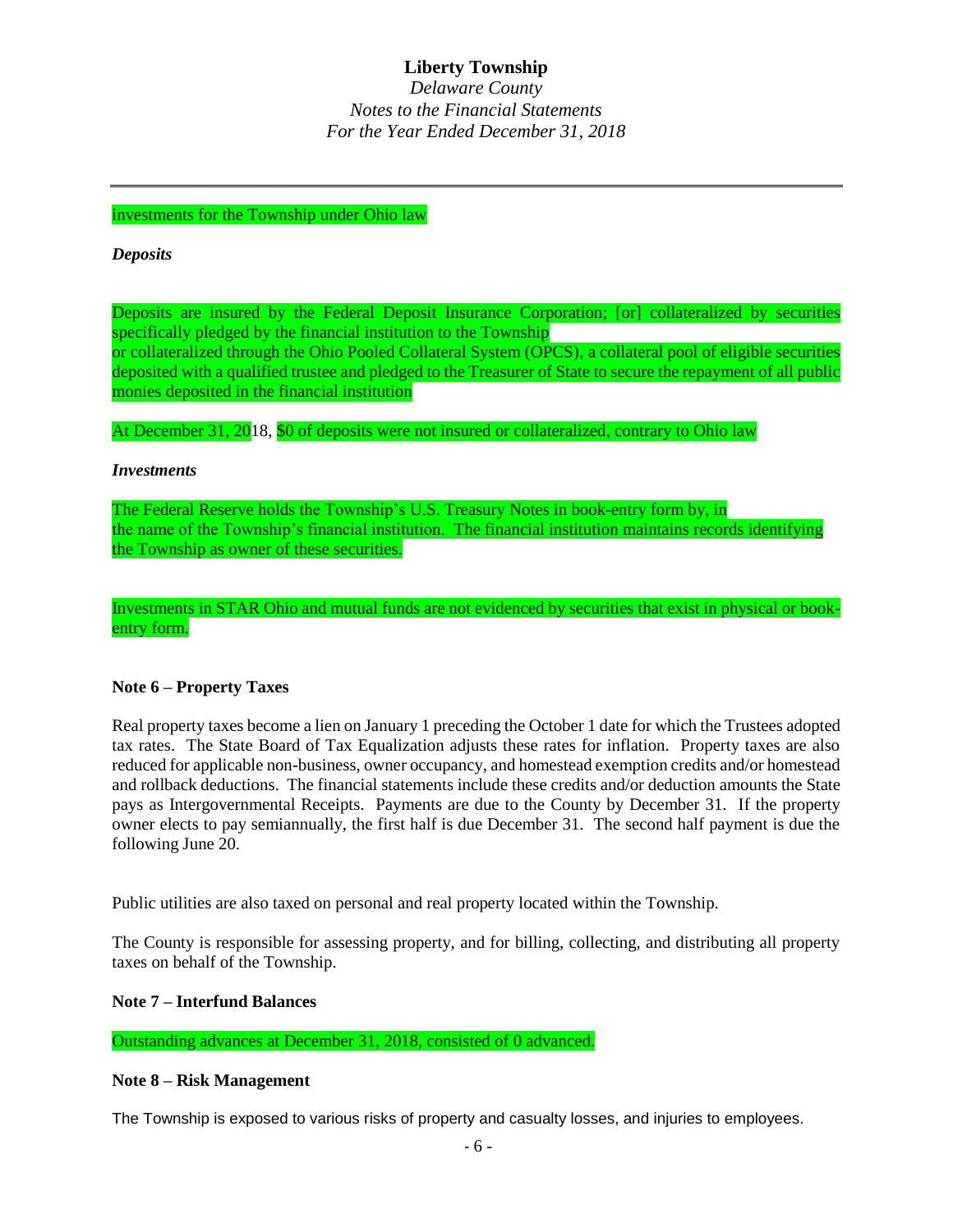#### investments for the Township under Ohio law

#### *Deposits*

Deposits are insured by the Federal Deposit Insurance Corporation; [or] collateralized by securities specifically pledged by the financial institution to the Township or collateralized through the Ohio Pooled Collateral System (OPCS), a collateral pool of eligible securities deposited with a qualified trustee and pledged to the Treasurer of State to secure the repayment of all public monies deposited in the financial institution

At December 31, 2018, \$0 of deposits were not insured or collateralized, contrary to Ohio law

#### *Investments*

The Federal Reserve holds the Township's U.S. Treasury Notes in book-entry form by, in the name of the Township's financial institution. The financial institution maintains records identifying the Township as owner of these securities.

## Investments in STAR Ohio and mutual funds are not evidenced by securities that exist in physical or bookentry form.

## **Note 6 – Property Taxes**

Real property taxes become a lien on January 1 preceding the October 1 date for which the Trustees adopted tax rates. The State Board of Tax Equalization adjusts these rates for inflation. Property taxes are also reduced for applicable non-business, owner occupancy, and homestead exemption credits and/or homestead and rollback deductions. The financial statements include these credits and/or deduction amounts the State pays as Intergovernmental Receipts. Payments are due to the County by December 31. If the property owner elects to pay semiannually, the first half is due December 31. The second half payment is due the following June 20.

Public utilities are also taxed on personal and real property located within the Township.

The County is responsible for assessing property, and for billing, collecting, and distributing all property taxes on behalf of the Township.

## **Note 7 – Interfund Balances**

#### Outstanding advances at December 31, 2018, consisted of 0 advanced.

#### **Note 8 – Risk Management**

The Township is exposed to various risks of property and casualty losses, and injuries to employees.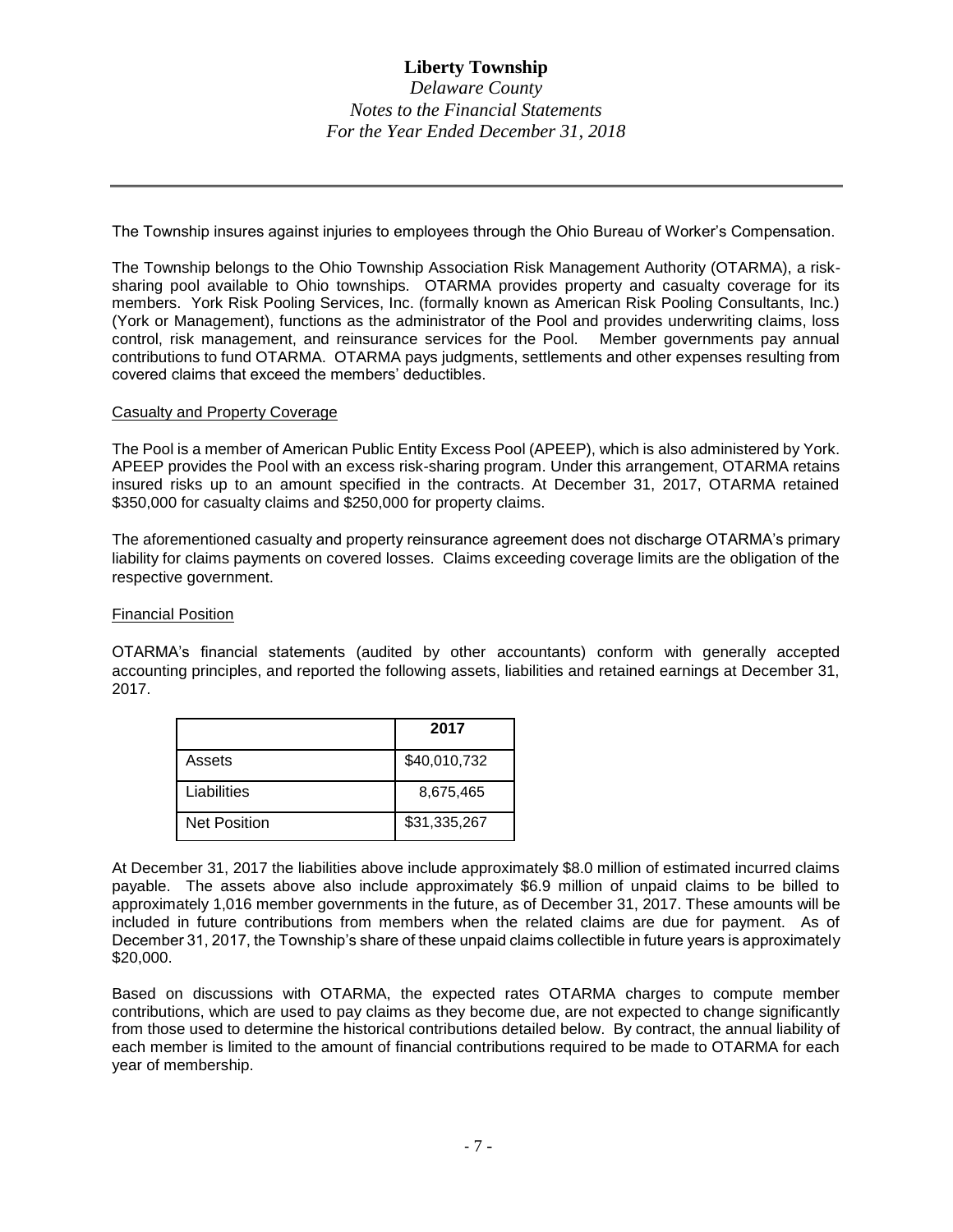The Township insures against injuries to employees through the Ohio Bureau of Worker's Compensation.

The Township belongs to the Ohio Township Association Risk Management Authority (OTARMA), a risksharing pool available to Ohio townships. OTARMA provides property and casualty coverage for its members. York Risk Pooling Services, Inc. (formally known as American Risk Pooling Consultants, Inc.) (York or Management), functions as the administrator of the Pool and provides underwriting claims, loss control, risk management, and reinsurance services for the Pool. Member governments pay annual contributions to fund OTARMA. OTARMA pays judgments, settlements and other expenses resulting from covered claims that exceed the members' deductibles.

#### Casualty and Property Coverage

The Pool is a member of American Public Entity Excess Pool (APEEP), which is also administered by York. APEEP provides the Pool with an excess risk-sharing program. Under this arrangement, OTARMA retains insured risks up to an amount specified in the contracts. At December 31, 2017, OTARMA retained \$350,000 for casualty claims and \$250,000 for property claims.

The aforementioned casualty and property reinsurance agreement does not discharge OTARMA's primary liability for claims payments on covered losses. Claims exceeding coverage limits are the obligation of the respective government.

#### Financial Position

OTARMA's financial statements (audited by other accountants) conform with generally accepted accounting principles, and reported the following assets, liabilities and retained earnings at December 31, 2017.

|                     | 2017         |
|---------------------|--------------|
| Assets              | \$40,010,732 |
| Liabilities         | 8,675,465    |
| <b>Net Position</b> | \$31,335,267 |

At December 31, 2017 the liabilities above include approximately \$8.0 million of estimated incurred claims payable. The assets above also include approximately \$6.9 million of unpaid claims to be billed to approximately 1,016 member governments in the future, as of December 31, 2017. These amounts will be included in future contributions from members when the related claims are due for payment. As of December 31, 2017, the Township's share of these unpaid claims collectible in future years is approximately \$20,000.

Based on discussions with OTARMA, the expected rates OTARMA charges to compute member contributions, which are used to pay claims as they become due, are not expected to change significantly from those used to determine the historical contributions detailed below. By contract, the annual liability of each member is limited to the amount of financial contributions required to be made to OTARMA for each year of membership.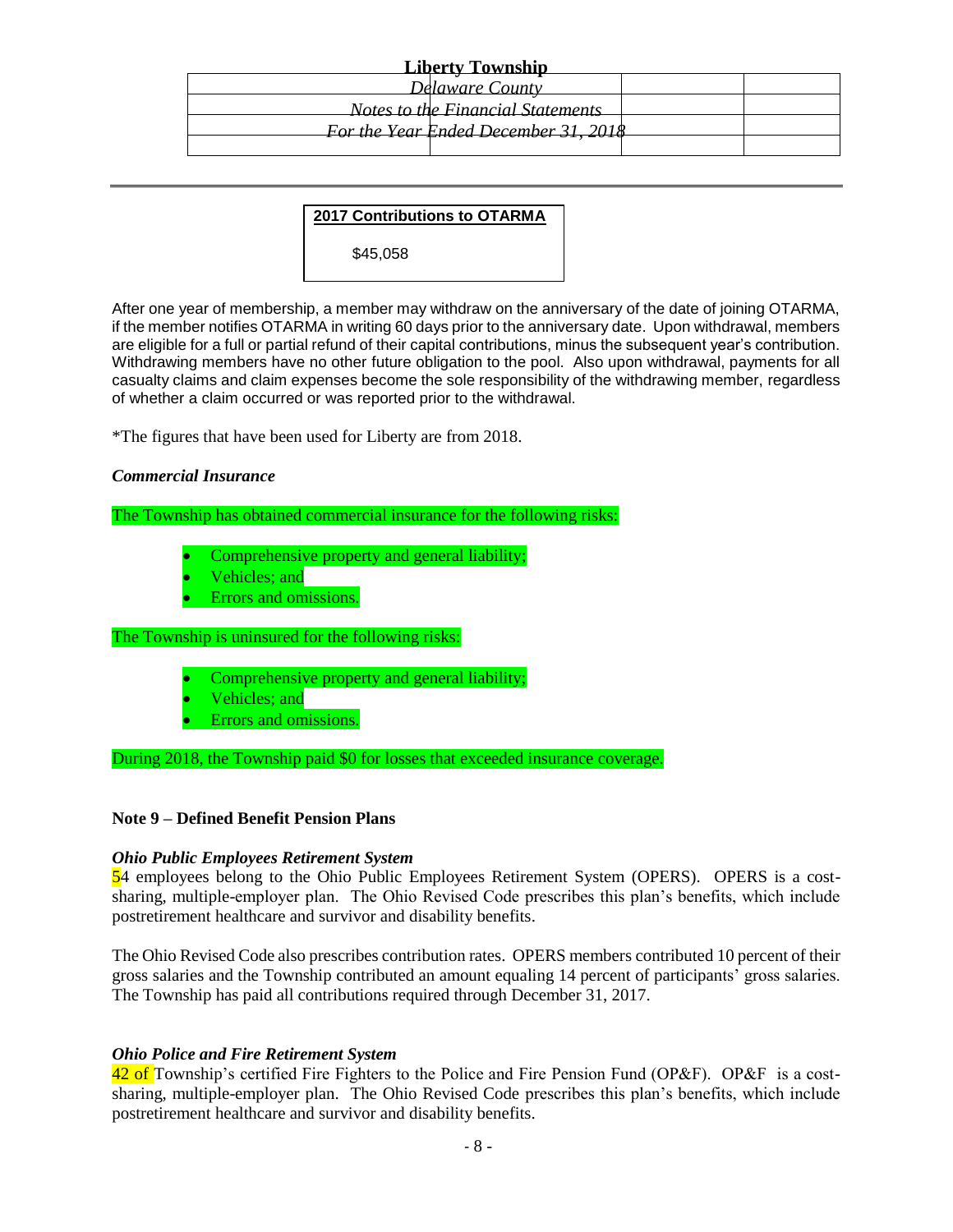# **2017 Contributions to OTARMA**

\$45,058

After one year of membership, a member may withdraw on the anniversary of the date of joining OTARMA, if the member notifies OTARMA in writing 60 days prior to the anniversary date. Upon withdrawal, members are eligible for a full or partial refund of their capital contributions, minus the subsequent year's contribution. Withdrawing members have no other future obligation to the pool. Also upon withdrawal, payments for all casualty claims and claim expenses become the sole responsibility of the withdrawing member, regardless of whether a claim occurred or was reported prior to the withdrawal.

\*The figures that have been used for Liberty are from 2018.

# *Commercial Insurance*

The Township has obtained commercial insurance for the following risks:

- Comprehensive property and general liability;
- Vehicles; and
- Errors and omissions.

The Township is uninsured for the following risks:

- Comprehensive property and general liability;
- Vehicles; and
- Errors and omissions.

During 2018, the Township paid \$0 for losses that exceeded insurance coverage.

## **Note 9 – Defined Benefit Pension Plans**

## *Ohio Public Employees Retirement System*

54 employees belong to the Ohio Public Employees Retirement System (OPERS). OPERS is a costsharing, multiple-employer plan. The Ohio Revised Code prescribes this plan's benefits, which include postretirement healthcare and survivor and disability benefits.

The Ohio Revised Code also prescribes contribution rates. OPERS members contributed 10 percent of their gross salaries and the Township contributed an amount equaling 14 percent of participants' gross salaries. The Township has paid all contributions required through December 31, 2017.

# *Ohio Police and Fire Retirement System*

42 of Township's certified Fire Fighters to the Police and Fire Pension Fund (OP&F). OP&F is a costsharing, multiple-employer plan. The Ohio Revised Code prescribes this plan's benefits, which include postretirement healthcare and survivor and disability benefits.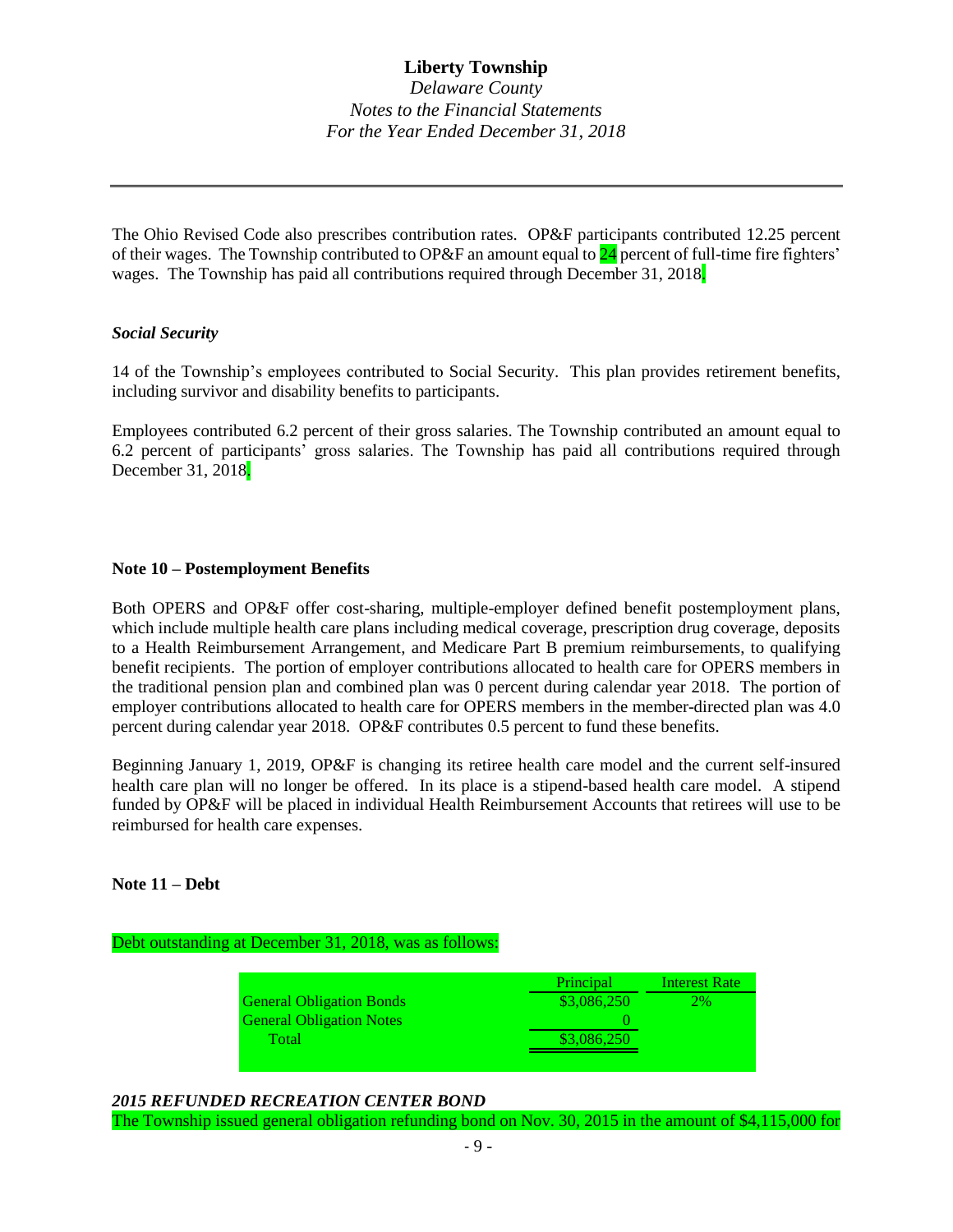The Ohio Revised Code also prescribes contribution rates. OP&F participants contributed 12.25 percent of their wages. The Township contributed to OP&F an amount equal to  $\frac{24}{1}$  percent of full-time fire fighters' wages. The Township has paid all contributions required through December 31, 2018.

## *Social Security*

14 of the Township's employees contributed to Social Security. This plan provides retirement benefits, including survivor and disability benefits to participants.

Employees contributed 6.2 percent of their gross salaries. The Township contributed an amount equal to 6.2 percent of participants' gross salaries. The Township has paid all contributions required through December 31, 2018.

#### **Note 10 – Postemployment Benefits**

Both OPERS and OP&F offer cost-sharing, multiple-employer defined benefit postemployment plans, which include multiple health care plans including medical coverage, prescription drug coverage, deposits to a Health Reimbursement Arrangement, and Medicare Part B premium reimbursements, to qualifying benefit recipients. The portion of employer contributions allocated to health care for OPERS members in the traditional pension plan and combined plan was 0 percent during calendar year 2018. The portion of employer contributions allocated to health care for OPERS members in the member-directed plan was 4.0 percent during calendar year 2018. OP&F contributes 0.5 percent to fund these benefits.

Beginning January 1, 2019, OP&F is changing its retiree health care model and the current self-insured health care plan will no longer be offered. In its place is a stipend-based health care model. A stipend funded by OP&F will be placed in individual Health Reimbursement Accounts that retirees will use to be reimbursed for health care expenses.

#### **Note 11 – Debt**

# Debt outstanding at December 31, 2018, was as follows:

| Principal   | <b>Interest Rate</b> |
|-------------|----------------------|
| \$3,086,250 | $^{19}$              |
|             |                      |
| \$3,086,250 |                      |
|             |                      |

#### *2015 REFUNDED RECREATION CENTER BOND*

The Township issued general obligation refunding bond on Nov. 30, 2015 in the amount of \$4,115,000 for